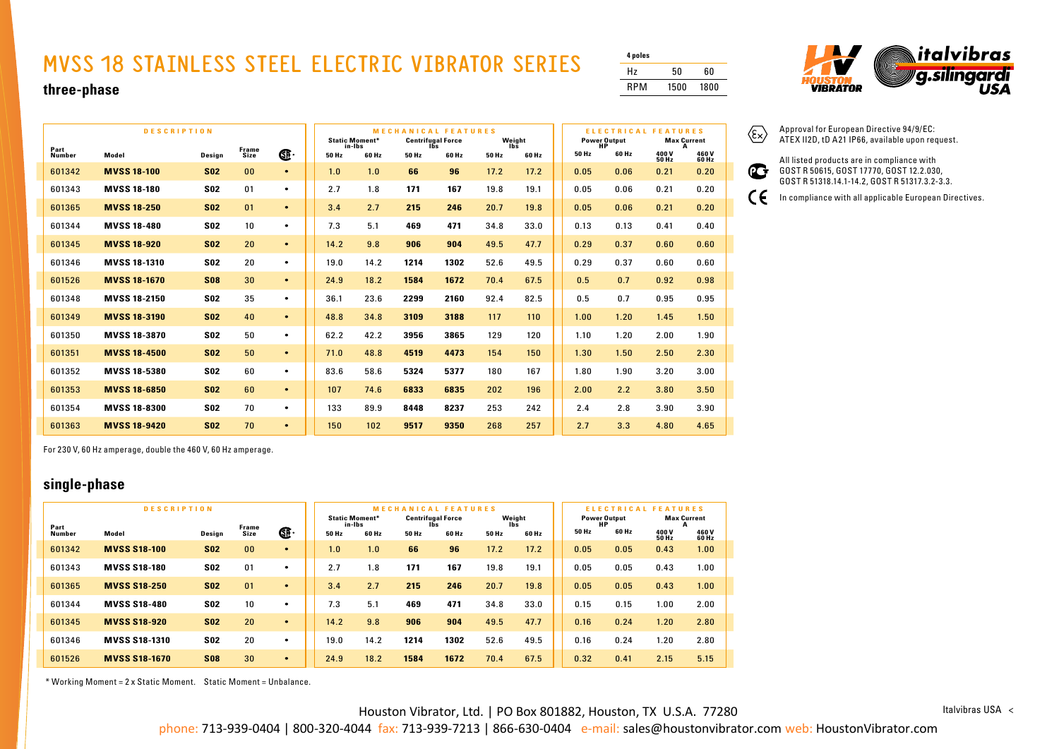## **MVSS 18 STAINLESS STEEL ELECTRIC VIBRATOR SERIES**

| 4 poles |      |      |
|---------|------|------|
| Hz      | 50   | 60   |
| RPM     | 1500 | 1800 |

 $\langle \widehat{\epsilon_{\mathsf{x}}}\rangle$ 

 $\epsilon$ 



Approval for European Directive 94/9/EC: ATEX II2D, tD A21 IP66, available upon request. All listed products are in compliance with GOST R 50615, GOST 17770, GOST 12.2.030, GOST R 51318.14.1-14.2, GOST R 51317.3.2-3.3. In compliance with all applicable European Directives.

#### **three-phase**

|                       | <b>DESCRIPTION</b>  | <b>MECHANICAL FEATURES</b><br><b>Static Moment*</b><br><b>Centrifugal Force</b> |                      |           |       |                 | Weight |              |       | <b>ELECTRICAL FEATURES</b><br><b>Max Current</b> |       |                       |                |                |
|-----------------------|---------------------|---------------------------------------------------------------------------------|----------------------|-----------|-------|-----------------|--------|--------------|-------|--------------------------------------------------|-------|-----------------------|----------------|----------------|
| Part<br><b>Number</b> | Model               | Design                                                                          | <b>Frame</b><br>Size | Œ         | 50 Hz | in-lbs<br>60 Hz | 50 Hz  | lñs<br>60 Hz | 50 Hz | lbš<br>60 Hz                                     | 50 Hz | Power Output<br>60 Hz | 400 V<br>50 Hz | 460 V<br>60 Hz |
| 601342                | <b>MVSS 18-100</b>  | <b>S02</b>                                                                      | 00                   | $\bullet$ | 1.0   | 1.0             | 66     | 96           | 17.2  | 17.2                                             | 0.05  | 0.06                  | 0.21           | 0.20           |
| 601343                | <b>MVSS 18-180</b>  | <b>S02</b>                                                                      | 01                   | $\bullet$ | 2.7   | 1.8             | 171    | 167          | 19.8  | 19.1                                             | 0.05  | 0.06                  | 0.21           | 0.20           |
| 601365                | <b>MVSS 18-250</b>  | <b>S02</b>                                                                      | 01                   | $\bullet$ | 3.4   | 2.7             | 215    | 246          | 20.7  | 19.8                                             | 0.05  | 0.06                  | 0.21           | 0.20           |
| 601344                | <b>MVSS 18-480</b>  | <b>S02</b>                                                                      | 10                   | $\bullet$ | 7.3   | 5.1             | 469    | 471          | 34.8  | 33.0                                             | 0.13  | 0.13                  | 0.41           | 0.40           |
| 601345                | <b>MVSS 18-920</b>  | <b>S02</b>                                                                      | 20                   | $\bullet$ | 14.2  | 9.8             | 906    | 904          | 49.5  | 47.7                                             | 0.29  | 0.37                  | 0.60           | 0.60           |
| 601346                | <b>MVSS 18-1310</b> | <b>S02</b>                                                                      | 20                   | $\bullet$ | 19.0  | 14.2            | 1214   | 1302         | 52.6  | 49.5                                             | 0.29  | 0.37                  | 0.60           | 0.60           |
| 601526                | <b>MVSS 18-1670</b> | <b>S08</b>                                                                      | 30                   | $\bullet$ | 24.9  | 18.2            | 1584   | 1672         | 70.4  | 67.5                                             | 0.5   | 0.7                   | 0.92           | 0.98           |
| 601348                | <b>MVSS 18-2150</b> | <b>S02</b>                                                                      | 35                   | $\bullet$ | 36.1  | 23.6            | 2299   | 2160         | 92.4  | 82.5                                             | 0.5   | 0.7                   | 0.95           | 0.95           |
| 601349                | <b>MVSS 18-3190</b> | <b>S02</b>                                                                      | 40                   | $\bullet$ | 48.8  | 34.8            | 3109   | 3188         | 117   | 110                                              | 1.00  | 1.20                  | 1.45           | 1.50           |
| 601350                | <b>MVSS 18-3870</b> | <b>S02</b>                                                                      | 50                   | $\bullet$ | 62.2  | 42.2            | 3956   | 3865         | 129   | 120                                              | 1.10  | 1.20                  | 2.00           | 1.90           |
| 601351                | <b>MVSS 18-4500</b> | <b>S02</b>                                                                      | 50                   | $\bullet$ | 71.0  | 48.8            | 4519   | 4473         | 154   | 150                                              | 1.30  | 1.50                  | 2.50           | 2.30           |
| 601352                | <b>MVSS 18-5380</b> | <b>S02</b>                                                                      | 60                   | $\bullet$ | 83.6  | 58.6            | 5324   | 5377         | 180   | 167                                              | 1.80  | 1.90                  | 3.20           | 3.00           |
| 601353                | <b>MVSS 18-6850</b> | <b>S02</b>                                                                      | 60                   | $\bullet$ | 107   | 74.6            | 6833   | 6835         | 202   | 196                                              | 2.00  | 2.2                   | 3.80           | 3.50           |
| 601354                | <b>MVSS 18-8300</b> | <b>S02</b>                                                                      | 70                   | $\bullet$ | 133   | 89.9            | 8448   | 8237         | 253   | 242                                              | 2.4   | 2.8                   | 3.90           | 3.90           |
| 601363                | <b>MVSS 18-9420</b> | <b>S02</b>                                                                      | 70                   | $\bullet$ | 150   | 102             | 9517   | 9350         | 268   | 257                                              | 2.7   | 3.3                   | 4.80           | 4.65           |

For 230 V, 60 Hz amperage, double the 460 V, 60 Hz amperage.

### **single-phase**

|                | <b>DESCRIPTION</b>   |            | <b>MECH</b>   | <b>ANICAL FEATURES</b> | <b>ELECTRI</b><br><b>ATURES</b><br>c<br>A L |                                 |       |                                 |       |               |       |                           |                |                    |
|----------------|----------------------|------------|---------------|------------------------|---------------------------------------------|---------------------------------|-------|---------------------------------|-------|---------------|-------|---------------------------|----------------|--------------------|
|                |                      |            |               |                        |                                             | <b>Static Moment*</b><br>in-Ibs |       | <b>Centrifugal Force</b><br>lbs |       | Weight<br>lbs |       | <b>Power Output</b><br>НP | А              | <b>Max Current</b> |
| Part<br>Number | Model                | Design     | Frame<br>Size | Œ                      | 50 Hz                                       | 60 Hz                           | 50 Hz | 60 Hz                           | 50 Hz | 60 Hz         | 50 Hz | 60 Hz                     | 400 V<br>50 Hz | 460V<br>60 Hz      |
| 601342         | <b>MVSS S18-100</b>  | <b>S02</b> | 00            | $\bullet$              | 1.0 <sub>1</sub>                            | 1.0                             | 66    | 96                              | 17.2  | 17.2          | 0.05  | 0.05                      | 0.43           | 1.00               |
| 601343         | <b>MVSS S18-180</b>  | <b>S02</b> | 01            | $\bullet$              | 2.7                                         | 1.8                             | 171   | 167                             | 19.8  | 19.1          | 0.05  | 0.05                      | 0.43           | 1.00               |
| 601365         | <b>MVSS S18-250</b>  | <b>S02</b> | 01            | $\bullet$              | 3.4                                         | 2.7                             | 215   | 246                             | 20.7  | 19.8          | 0.05  | 0.05                      | 0.43           | 1.00               |
| 601344         | <b>MVSS S18-480</b>  | <b>S02</b> | 10            | $\bullet$              | 7.3                                         | 5.1                             | 469   | 471                             | 34.8  | 33.0          | 0.15  | 0.15                      | 1.00           | 2.00               |
| 601345         | <b>MVSS S18-920</b>  | <b>S02</b> | 20            | $\bullet$              | 14.2                                        | 9.8                             | 906   | 904                             | 49.5  | 47.7          | 0.16  | 0.24                      | 1.20           | 2.80               |
| 601346         | <b>MVSS S18-1310</b> | <b>S02</b> | 20            | $\bullet$              | 19.0                                        | 14.2                            | 1214  | 1302                            | 52.6  | 49.5          | 0.16  | 0.24                      | 1.20           | 2.80               |
| 601526         | <b>MVSS S18-1670</b> | <b>S08</b> | 30            | $\bullet$              | 24.9                                        | 18.2                            | 1584  | 1672                            | 70.4  | 67.5          | 0.32  | 0.41                      | 2.15           | 5.15               |

\* Working Moment = 2 x Static Moment. Static Moment = Unbalance.



Houston Vibrator, Ltd. | PO Box 801882, Houston, TX U.S.A. 77280 phone: 713-939-0404 | 800-320-4044 fax: 713-939-7213 | 866-630-0404 e-mail: sales@houstonvibrator.com web: HoustonVibrator.com